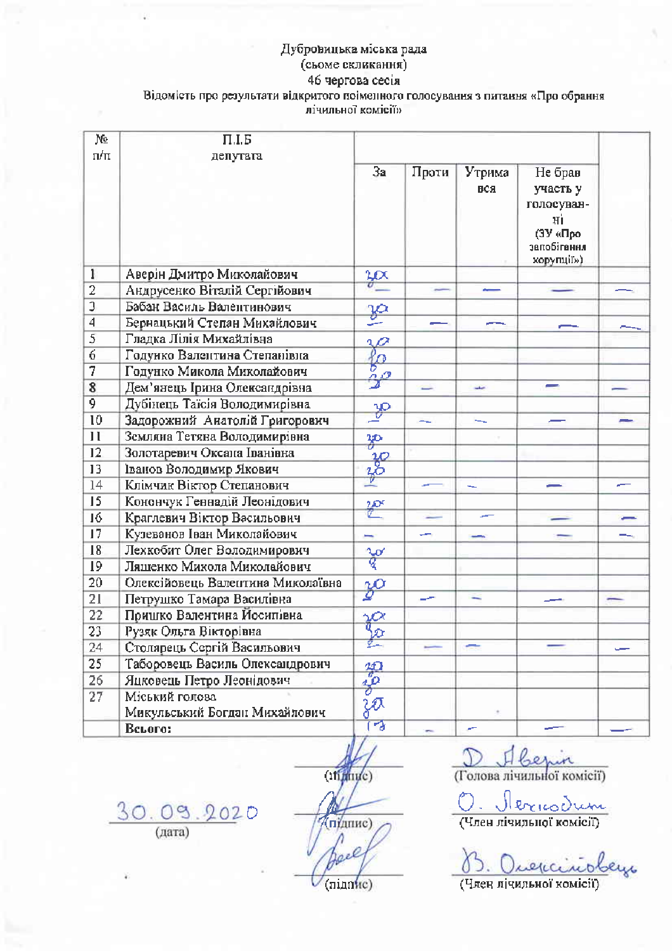## Дубровицька міська рада (сьоме скликання) 46 чергова сесія Відомість про результати відкритого поіменного голосування з питання «Про обрання лічильної комісії»

| Ņ₫<br>$\pi/\pi$         | $\Pi.I.5$<br>депутата             |                        |       |               |                                                                                    |  |
|-------------------------|-----------------------------------|------------------------|-------|---------------|------------------------------------------------------------------------------------|--|
|                         |                                   | 3a                     | Проти | Утрима<br>вся | Не брав<br>участь у<br>голосуван-<br>Нİ<br>(ЗУ «Про-<br>запобігання<br>корупції»). |  |
| 1                       | Аверін Дмитро Миколайович         | $rac{2\alpha}{\alpha}$ |       |               |                                                                                    |  |
| $\overline{2}$          | Андрусенко Віталій Сергійович     |                        |       |               |                                                                                    |  |
| $\overline{\mathbf{3}}$ | Бабан Василь Валентинович         | ja                     |       |               |                                                                                    |  |
| 4                       | Бернацький Степан Михайлович      |                        |       |               |                                                                                    |  |
| 5                       | Гладка Лілія Михайлівна           |                        |       |               |                                                                                    |  |
| 6                       | Годунко Валентина Степанівна      | fo<br>10               |       |               |                                                                                    |  |
| 7                       | Годунко Микола Миколайович        |                        |       |               |                                                                                    |  |
| 8                       | Дем'янець Ірина Олександрівна     | $\mathcal{F}$          | ⋍     | حققه          |                                                                                    |  |
| 9                       | Дубінець Таїсія Володимирівна     |                        |       |               |                                                                                    |  |
| 10                      | Задорожний Анатолій Григорович    | $\frac{30}{2}$         | н.    | -             |                                                                                    |  |
| 11                      | Земляна Тетяна Володимирівна      | æ                      |       |               |                                                                                    |  |
| 12                      | Золотаревич Оксана Іванівна       |                        |       |               |                                                                                    |  |
| 13                      | Іванов Володимир Якович           | $rac{10}{30}$          |       |               |                                                                                    |  |
| 14                      | Клімчик Віктор Степанович         |                        |       |               |                                                                                    |  |
| 15                      | Конончук Геннадій Леонідович      | 徑                      |       |               |                                                                                    |  |
| 16                      | Краглевич Віктор Васильович       |                        |       |               |                                                                                    |  |
| 17                      | Кузеванов Іван Миколайович        | -                      |       |               |                                                                                    |  |
| 18                      | Лехкобит Олег Володимирович       |                        |       |               |                                                                                    |  |
| 19                      | Ляшенко Микола Миколайович        | र्वे                   |       |               |                                                                                    |  |
| 20                      | Олексійовець Валентина Миколаївна | $\frac{2^{O}}{2}$      |       |               |                                                                                    |  |
| 21                      | Петрушко Тамара Василівна         |                        |       |               |                                                                                    |  |
| 22                      | Пришко Валентина Йосипівна        |                        |       |               |                                                                                    |  |
| 23                      | Рузяк Ольга Вікторівна            | $\frac{\gamma}{2}$     |       |               |                                                                                    |  |
| 24                      | Столярець Сергій Васильович       |                        |       |               |                                                                                    |  |
| 25                      | Таборовець Василь Олександрович   |                        |       |               |                                                                                    |  |
| 26                      | Яцковець Петро Леонідович         | $rac{40}{6}$           |       |               |                                                                                    |  |
| 27                      | Міський голова                    |                        |       |               |                                                                                    |  |
|                         | Микульський Богдан Михайлович     | zā                     |       |               |                                                                                    |  |
|                         | Beroro:                           | 18                     |       |               |                                                                                    |  |

 $30.09.2020$  (дата)

(ifining) (пилис) Λ Jace

her (Голова лічильної комісії)

<u> Mericodum</u>

(Член лічильної комісії)

e<br>Lys

(Член лічильної комісії)

 $(ninnuc)$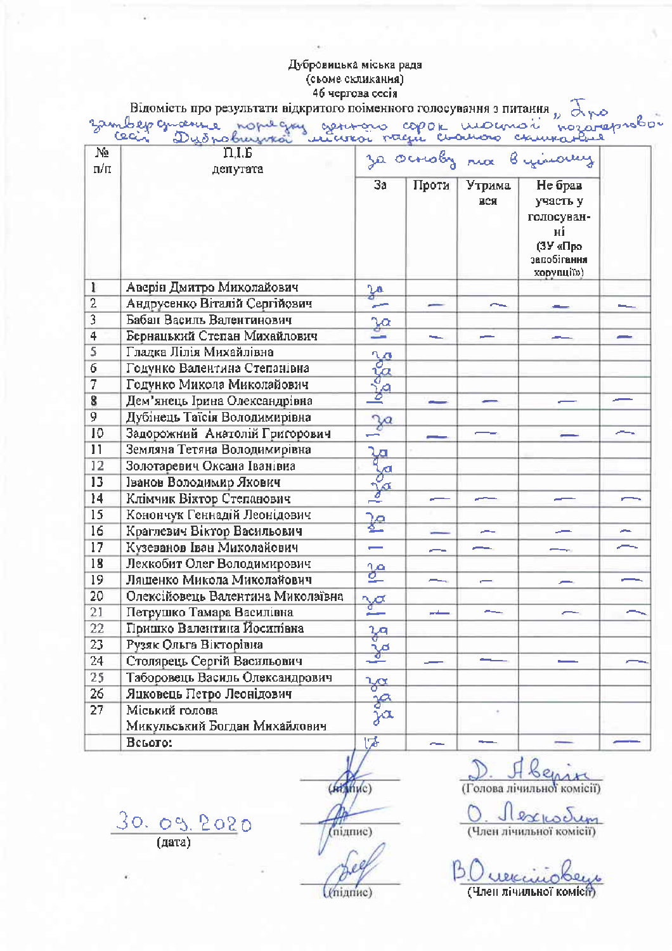|                         | Відомість про результати відкритого поіменного голосування з питання $p \propto \sqrt{2}$ |                           |       |               |                                                                                  |   |
|-------------------------|-------------------------------------------------------------------------------------------|---------------------------|-------|---------------|----------------------------------------------------------------------------------|---|
|                         | sambepamente nopulgas gentoro copor momorí nozareprobor                                   |                           |       |               |                                                                                  |   |
| No<br>п/п               | $\Pi.I.E$<br>денутата                                                                     | za ocnoby na Byinary      |       |               |                                                                                  |   |
|                         |                                                                                           | 3a                        | Проти | Утрима<br>вся | Не брав<br>участь у<br>голосуван-<br>ні<br>(ЗУ «Про<br>запобігання<br>корупції») |   |
| $\mathbf{1}$            | Аверін Дмитро Миколайович                                                                 | $\frac{3a}{b}$            |       |               |                                                                                  |   |
| $\overline{2}$          | Андрусенко Віталій Сергійович                                                             |                           |       |               |                                                                                  |   |
| $\overline{\mathbf{3}}$ | Бабан Василь Валентинович                                                                 | $\frac{3a}{2}$            |       |               |                                                                                  |   |
| $\overline{4}$          | Бернацький Степан Михайлович                                                              |                           |       |               |                                                                                  |   |
| 5                       | Гладка Лілія Михайлівна                                                                   |                           |       |               |                                                                                  |   |
| 6                       | Годунко Валентина Степанівна                                                              | <b>Poppe</b>              |       |               |                                                                                  |   |
| 7                       | Годунко Микола Миколайович                                                                |                           |       |               |                                                                                  |   |
| $\overline{\mathbf{8}}$ | Дем'янець Ірина Олександрівна                                                             |                           |       |               |                                                                                  |   |
| 9                       | Дубінець Таїсія Володимирівна                                                             |                           |       |               |                                                                                  |   |
| 10                      | Задорожний Анатолій Григорович                                                            | $\frac{3a}{2}$            |       |               |                                                                                  |   |
| $^{11}$                 | Земляна Тетяна Володимирівна                                                              |                           |       |               |                                                                                  |   |
| 12                      | Золотаревич Оксана Іванівна                                                               |                           |       |               |                                                                                  |   |
| 13                      | Іванов Володимир Якович                                                                   |                           |       |               |                                                                                  |   |
| 14                      | Клімчик Віктор Степанович                                                                 | كوكوكوا                   |       |               |                                                                                  |   |
| 15                      | Конончук Геннадій Леонідович                                                              |                           |       |               |                                                                                  |   |
| 16                      | Краглевич Віктор Васильович                                                               | ٩Ā                        |       |               |                                                                                  | ~ |
| 17                      | Кузеванов Іван Миколайович                                                                | $\overline{\phantom{0}}$  |       |               |                                                                                  |   |
| 18                      | Лехкобит Олег Володимирович                                                               |                           |       |               |                                                                                  |   |
| 19                      | Ляшенко Микола Миколайович                                                                | չ≏                        |       |               |                                                                                  |   |
| 20                      | Олексійовець Валентина Миколаївна                                                         | $\sqrt{\alpha}$           |       |               |                                                                                  |   |
| 21                      | Петрушко Тамара Василівна                                                                 | سنتم                      | سنقاص |               |                                                                                  |   |
| 22                      | Пришко Валентина Йосипівна                                                                |                           |       |               |                                                                                  |   |
| 23                      | Рузяк Ольга Вікторівна                                                                    | $\frac{2a}{\sigma}$       |       |               |                                                                                  |   |
| 24                      | Столярець Сергій Васильович                                                               | $\frac{1}{\sqrt{\alpha}}$ |       |               |                                                                                  |   |
| 25                      | Таборовець Василь Олександрович                                                           |                           |       |               |                                                                                  |   |
| 26                      | Яцковець Петро Леонідович                                                                 | $\frac{1}{2}a$            |       |               |                                                                                  |   |
| 27                      | Міський голова                                                                            | 幾                         |       |               |                                                                                  |   |
|                         | Микульський Богдан Михайлович                                                             | ja                        |       |               |                                                                                  |   |
|                         | Всього:                                                                                   | ば                         | للسام |               |                                                                                  |   |

 $30.09.2020$ 

 $($ *ki*t $)$ in $/$ c $)$ (підпис)

D. H Lemire

0. Jlex<sub>to</sub>Jum

 $|5|$ <u>Durecinobeys</u>

(mianuc)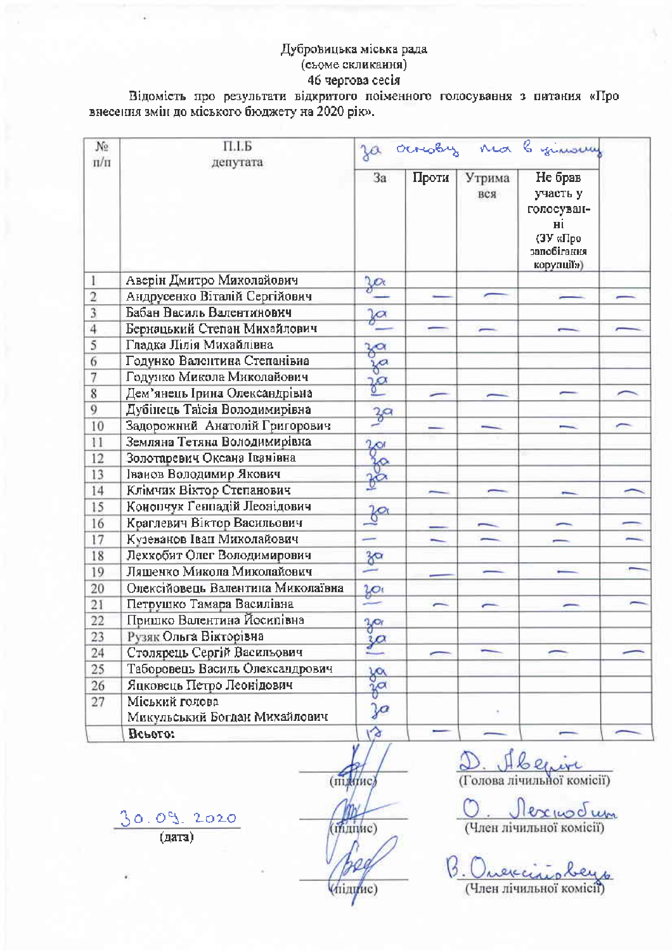Відомість про результати відкритого поіменного голосування з питання «Про внесення змін до міського бюджету на 2020 рік».

| No.<br>$\pi/\pi$ | $\Pi.I.B$<br>депутата                           | Ja ocrooby no byinoury |       |               |                                                                                  |  |
|------------------|-------------------------------------------------|------------------------|-------|---------------|----------------------------------------------------------------------------------|--|
|                  |                                                 | 3a                     | Проти | Утрима<br>вся | Не брав<br>участь у<br>голосуван-<br>нi<br>(ЗУ «Про<br>запобігання<br>корулції») |  |
|                  | Аверін Дмитро Миколайович                       | $\frac{3}{\alpha}$     |       |               |                                                                                  |  |
| $\overline{2}$   | Андрусенко Віталій Сергійович                   |                        |       |               |                                                                                  |  |
| $\overline{3}$   | Бабан Василь Валентинович                       | $\sqrt[3]{\alpha}$     |       |               |                                                                                  |  |
| $\overline{4}$   | Бернацький Степан Михайлович                    |                        |       |               |                                                                                  |  |
| 5                | Гладка Лілія Михайлівна                         |                        |       |               |                                                                                  |  |
| 6                | Годунко Валентина Степанівна                    | za                     |       |               |                                                                                  |  |
| 7                | Годунко Микола Миколайович                      | $\frac{3}{2}$          |       |               |                                                                                  |  |
| $\bf 8$          | Дем'янець Ірина Олександрівна                   |                        |       |               |                                                                                  |  |
| 9                | Дубінець Таїсія Володимирівна                   | 39                     |       |               |                                                                                  |  |
| 10               | Задорожний Анатолій Григорович                  |                        |       |               |                                                                                  |  |
| 11               | Земляна Тетяна Володимирівна                    | $\frac{2}{0}$          |       |               |                                                                                  |  |
| 12               | Золотаревич Оксана Іванівна                     |                        |       |               |                                                                                  |  |
| 13               | Іванов Володимир Якович                         | Ro                     |       |               |                                                                                  |  |
| 14               | Клімчик Віктор Степанович                       |                        |       |               |                                                                                  |  |
| 15               | Конопчук Геннадій Леонідович                    |                        |       |               |                                                                                  |  |
| 16               | Краглевич Віктор Васильович                     | $\frac{1}{6}$          |       |               |                                                                                  |  |
| 17               | Кузеванов Іван Миколайович                      | -                      |       |               |                                                                                  |  |
| 18               | Лехкобит Олег Володимирович                     | $rac{3}{2}$            |       |               |                                                                                  |  |
| 19               | Ляшенко Микола Миколайович                      |                        |       |               |                                                                                  |  |
| 20               | Олексійовець Валентина Миколаївна               |                        |       |               |                                                                                  |  |
| 21               | Петрушко Тамара Василівна                       | $\frac{20}{3}$         |       |               |                                                                                  |  |
| 22               | Пришко Валентина Йосипівна                      | $3^{\circ}$            |       |               |                                                                                  |  |
| 23               | Рузяк Ольга Вікторівна                          | 30 <sup>2</sup>        |       |               |                                                                                  |  |
| 24               | Столярець Сергій Васильович                     | $\sqrt{2}$             |       |               |                                                                                  |  |
| 25               | Таборовець Василь Олександрович                 |                        |       |               |                                                                                  |  |
| 26               | Яцковець Петро Леонідович                       | ga                     |       |               |                                                                                  |  |
| 27               | Міський голова<br>Микульський Богдан Михайлович | Ja                     |       |               |                                                                                  |  |
|                  | Всього:                                         | Và                     |       |               |                                                                                  |  |

(підпис (manue)

(підцис)

 $1626$  $\Omega$  $W$ (Голова лічильної комісії)

expodum (Член лічильної комісії)

(Член лічильної комісії)

 $\frac{30.0912020}{(0.0001)}$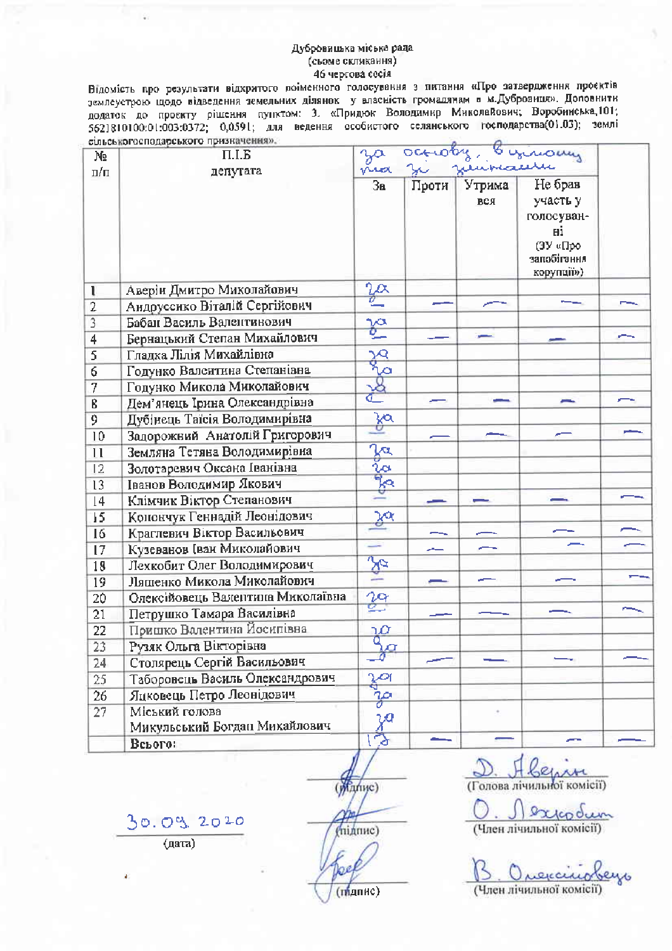Відомість про результати відхритого поіменного голосування з питання «Про затвердження проєктів землеустрою щодо відведення земельних ділянок у власність громалянам в м.Дубровиця». Доповнити додаток до проекту рішення пунктом: 3. «Придюк Володимир Миколайович; Воробинська, 101; 5621810100:01:003:0372; 0,0591; для ведення особистого селанського господарства(01.03); землі етльськогосподарського призначения».

| N2                      | стревкогосподарського призначения».<br>$\Pi.I.B$ | octiony<br>ymony<br>naauri        |       |               |                                                             |  |
|-------------------------|--------------------------------------------------|-----------------------------------|-------|---------------|-------------------------------------------------------------|--|
| п/п                     | денутата                                         | nica<br>3a                        | Проти | Утрима<br>вся | Не брав<br>участь у                                         |  |
|                         |                                                  |                                   |       |               | голосуван-<br>нi<br>(ЗУ «Про-<br>минетідопье<br>корупції»). |  |
| 1                       | Аверін Дмитро Миколайович                        |                                   |       |               |                                                             |  |
| $\overline{2}$          | Андруссико Віталій Сергійович                    |                                   |       |               |                                                             |  |
| $\overline{3}$          | Бабан Василь Валентинович                        | p.                                |       |               |                                                             |  |
| $\overline{\mathbf{4}}$ | Бернацький Степан Михайлович                     |                                   |       |               |                                                             |  |
| 5                       | Гладка Лілія Михайлівна                          | क्षे                              |       |               |                                                             |  |
| 6                       | Годунко Валентина Степанівна                     | ⊘                                 |       |               |                                                             |  |
| 7                       | Годунко Микола Миколайович                       |                                   |       |               |                                                             |  |
| ß                       | Дем'янець Ірина Олександрівна                    |                                   |       |               |                                                             |  |
| 9                       | Дубінець Таїсія Володимирівна                    | <u>ya</u>                         |       |               |                                                             |  |
| 10                      | Задорожний Анатолій Григорович                   |                                   |       |               |                                                             |  |
| $\mathbf{1}$            | Земляна Тетяна Володимирівна                     | $\overline{\mathcal{S}^{\alpha}}$ |       |               |                                                             |  |
| 12                      | Золотаревич Оксана Іванівна                      |                                   |       |               |                                                             |  |
| 13                      | Іванов Володимир Якович                          | $\frac{1}{2}$                     |       |               |                                                             |  |
| $\sqrt{4}$              | Клімчик Віктор Степанович                        |                                   |       |               |                                                             |  |
| 15                      | Конончук Геннадій Леонідович                     | ஜ                                 |       |               |                                                             |  |
| 16                      | Краглевич Віктор Васильович                      |                                   |       |               |                                                             |  |
| 17                      | Кузеванов (ван Миколайович                       |                                   |       |               |                                                             |  |
| 18                      | Лехкобит Олег Володимирович                      | $\approx$                         |       |               |                                                             |  |
| 19                      | Ляшенко Микола Миколайович                       |                                   |       |               |                                                             |  |
| 20                      | Олексійовець Валентина Миколаївна                | 丝                                 |       |               |                                                             |  |
| 21                      | Петрушко Тамара Василівна                        |                                   |       |               |                                                             |  |
| 22                      | Пришко Валентина Йосипівна                       | à                                 |       |               |                                                             |  |
| 23                      | Рузяк Ольга Вікторівна                           |                                   |       |               |                                                             |  |
| 24                      | Столярець Сергій Васильович                      |                                   |       |               |                                                             |  |
| 25                      | Таборовець Василь Олександрович                  | $\frac{3}{9}$                     |       |               |                                                             |  |
| 26                      | Яцковець Петро Леонідович                        | ža                                |       |               |                                                             |  |
| 27                      | Міський голова                                   |                                   |       |               |                                                             |  |
|                         | Микульський Богдан Михайлович                    | χa                                |       |               |                                                             |  |
|                         | Всього:                                          |                                   |       |               |                                                             |  |

(manuc)

へんし (Голова лічильної комісії)

 $\circ$ codum (Член лічильної комісії)

execu (Член лічильної комісії)

30.09.2020 (дата)

(підпис) юe  $(m)$ дпис $)$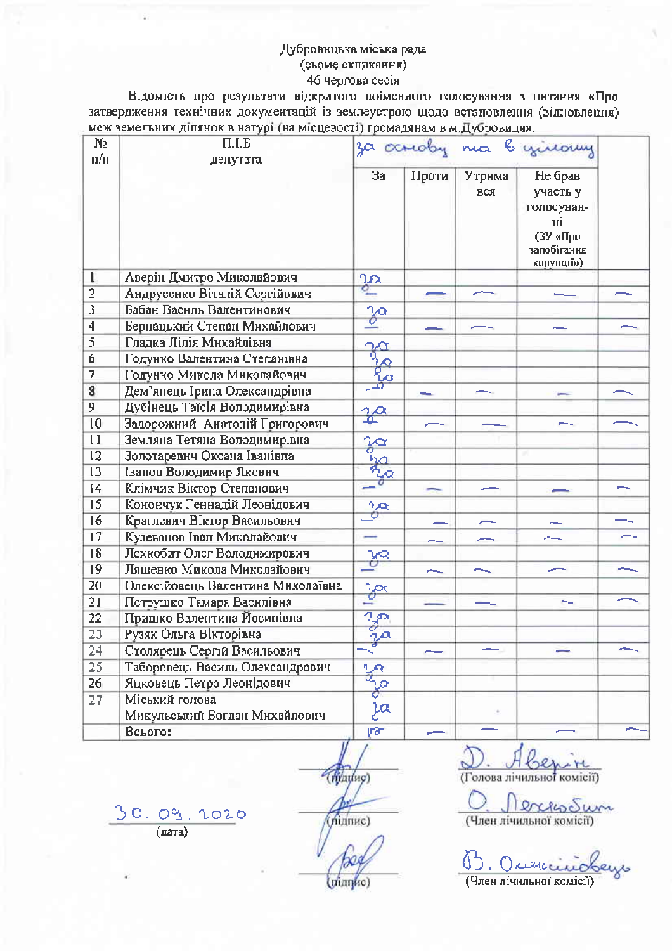Відомість про результати відкритого поіменного голосування з питання «Про затвердження технічних документацій із землеустрою щодо встановлення (відновлення) меж земельних ділянок в натурі (на місцевості) громадянам в м.Дубровиця».

| Nº.<br>$n/\pi$ | $\Pi.I.B$<br>депутата             |                          |          |               | za ocrioby ma b yilouy                                                           |  |
|----------------|-----------------------------------|--------------------------|----------|---------------|----------------------------------------------------------------------------------|--|
|                |                                   | Зa                       | Проти    | Утрима<br>вся | Не брав<br>участь у<br>голосуван-<br>пі<br>(ЗУ «Про<br>запобітання<br>корупції») |  |
| 1              | Аверін Дмитро Миколайович         | $\frac{30}{5}$           |          |               |                                                                                  |  |
| $\overline{2}$ | Андрусенко Віталій Сергійович     |                          |          |               |                                                                                  |  |
| 3              | Бабан Василь Валентинович         | $\overline{\mathscr{C}}$ |          |               |                                                                                  |  |
| 4              | Бернацький Степан Михайлович      |                          |          |               |                                                                                  |  |
| 5              | Гладка Лілія Михайлівна           | $\frac{1}{6}$            |          |               |                                                                                  |  |
| 6              | Годунко Валентина Степанівна      |                          |          |               |                                                                                  |  |
| 7              | Годунко Микола Миколайович        |                          |          |               |                                                                                  |  |
| $\bf{8}$       | Дем'янець Ірина Олександрівна     |                          |          |               |                                                                                  |  |
| 9              | Дубінець Таїсія Володимирівна     | $\frac{2\alpha}{2}$      |          |               |                                                                                  |  |
| 10             | Задорожний Анатолій Григорович    |                          |          |               | --                                                                               |  |
| 11             | Земляна Тетяна Володимирівна      | <b>Road</b>              |          |               |                                                                                  |  |
| 12             | Золотаревич Оксана Іванівна       |                          |          |               |                                                                                  |  |
| 13             | Іванов Володимир Якович           |                          |          |               |                                                                                  |  |
| 14             | Клімчик Віктор Степанович         |                          |          |               |                                                                                  |  |
| 15             | Конончук Геннадій Леонідович      | za                       |          |               |                                                                                  |  |
| 16             | Краглевич Віктор Васильович       |                          |          |               |                                                                                  |  |
| 17             | Кузеванов Іван Миколайович        |                          |          |               |                                                                                  |  |
| 18             | Лехкобит Олег Володимирович       |                          |          |               |                                                                                  |  |
| 19             | Ляшенко Микола Миколайович        | æ.                       | للمستنبر |               | __                                                                               |  |
| 20             | Олексійовець Валентина Миколаївна |                          |          |               |                                                                                  |  |
| 21             | Петрушко Тамара Василівна         | $\frac{3\alpha}{2}$      |          |               |                                                                                  |  |
| 22             | Пришко Валентина Йосипівна        |                          |          |               |                                                                                  |  |
| 23             | Рузяк Ольга Вікторівна            | $\frac{2\pi}{\gamma}$    |          |               |                                                                                  |  |
| 24             | Столярець Сергій Васильович       |                          |          |               |                                                                                  |  |
| 25             | Таборовець Василь Олександрович   |                          |          |               |                                                                                  |  |
| 26             | Яцковець Петро Леонідович         | <b>B. B. B.</b>          |          |               |                                                                                  |  |
| 27             | Міський голова                    |                          |          |               |                                                                                  |  |
|                | Микульський Богдан Михайлович     |                          |          |               |                                                                                  |  |
|                | Всього:                           | rð                       |          |               |                                                                                  |  |

(hinting) (minne)

(Голова лічильної комісії)

<u>C</u> Jerres Sum

(Член лічильної комісії)

 $\frac{30.09}$ 

2020

(minnue)